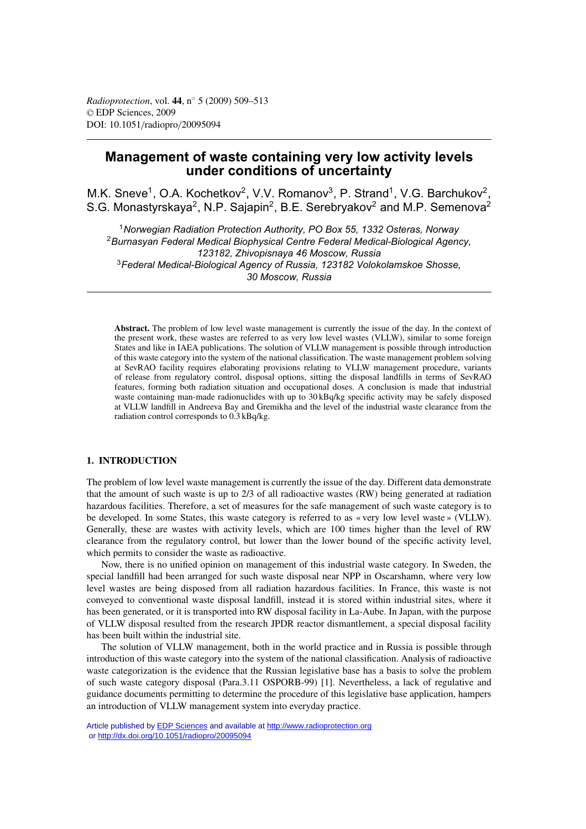# **Management of waste containing very low activity levels under conditions of uncertainty**

M.K. Sneve<sup>1</sup>, O.A. Kochetkov<sup>2</sup>, V.V. Romanov<sup>3</sup>, P. Strand<sup>1</sup>, V.G. Barchukov<sup>2</sup>, S.G. Monastyrskaya<sup>2</sup>, N.P. Sajapin<sup>2</sup>, B.E. Serebryakov<sup>2</sup> and M.P. Semenova<sup>2</sup>

<sup>1</sup>*Norwegian Radiation Protection Authority, PO Box 55, 1332 Osteras, Norway* <sup>2</sup>*Burnasyan Federal Medical Biophysical Centre Federal Medical-Biological Agency, 123182, Zhivopisnaya 46 Moscow, Russia* <sup>3</sup>*Federal Medical-Biological Agency of Russia, 123182 Volokolamskoe Shosse, 30 Moscow, Russia*

**Abstract.** The problem of low level waste management is currently the issue of the day. In the context of the present work, these wastes are referred to as very low level wastes (VLLW), similar to some foreign States and like in IAEA publications. The solution of VLLW management is possible through introduction of this waste category into the system of the national classification. The waste management problem solving at SevRAO facility requires elaborating provisions relating to VLLW management procedure, variants of release from regulatory control, disposal options, sitting the disposal landfills in terms of SevRAO features, forming both radiation situation and occupational doses. A conclusion is made that industrial waste containing man-made radionuclides with up to 30 kBq/kg specific activity may be safely disposed at VLLW landfill in Andreeva Bay and Gremikha and the level of the industrial waste clearance from the radiation control corresponds to 0.3 kBq/kg.

### **1. INTRODUCTION**

The problem of low level waste management is currently the issue of the day. Different data demonstrate that the amount of such waste is up to 2/3 of all radioactive wastes (RW) being generated at radiation hazardous facilities. Therefore, a set of measures for the safe management of such waste category is to be developed. In some States, this waste category is referred to as « very low level waste » (VLLW). Generally, these are wastes with activity levels, which are 100 times higher than the level of RW clearance from the regulatory control, but lower than the lower bound of the specific activity level, which permits to consider the waste as radioactive.

Now, there is no unified opinion on management of this industrial waste category. In Sweden, the special landfill had been arranged for such waste disposal near NPP in Oscarshamn, where very low level wastes are being disposed from all radiation hazardous facilities. In France, this waste is not conveyed to conventional waste disposal landfill, instead it is stored within industrial sites, where it has been generated, or it is transported into RW disposal facility in La-Aube. In Japan, with the purpose of VLLW disposal resulted from the research JPDR reactor dismantlement, a special disposal facility has been built within the industrial site.

The solution of VLLW management, both in the world practice and in Russia is possible through introduction of this waste category into the system of the national classification. Analysis of radioactive waste categorization is the evidence that the Russian legislative base has a basis to solve the problem of such waste category disposal (Para.3.11 OSPORB-99) [1]. Nevertheless, a lack of regulative and guidance documents permitting to determine the procedure of this legislative base application, hampers an introduction of VLLW management system into everyday practice.

Article published by [EDP Sciences](http://www.edpsciences.org) and available at<http://www.radioprotection.org> or <http://dx.doi.org/10.1051/radiopro/20095094>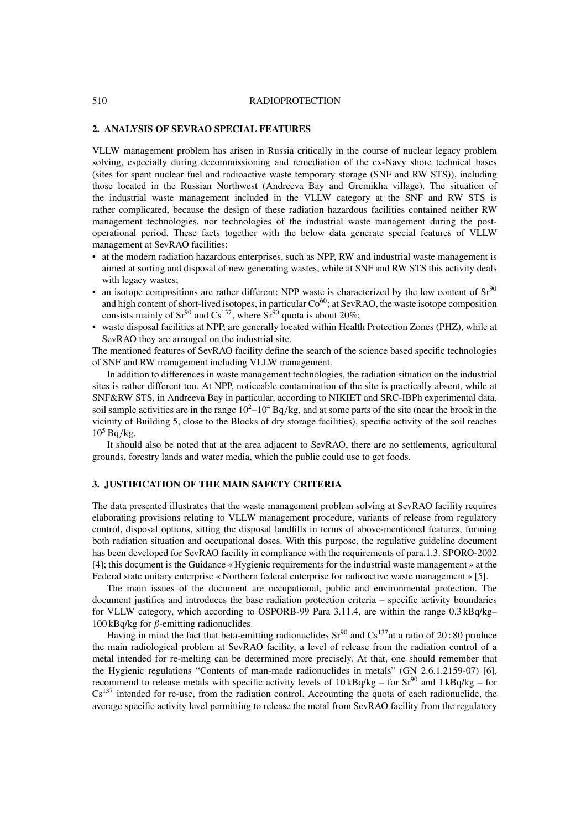#### 510 RADIOPROTECTION

### **2. ANALYSIS OF SEVRAO SPECIAL FEATURES**

VLLW management problem has arisen in Russia critically in the course of nuclear legacy problem solving, especially during decommissioning and remediation of the ex-Navy shore technical bases (sites for spent nuclear fuel and radioactive waste temporary storage (SNF and RW STS)), including those located in the Russian Northwest (Andreeva Bay and Gremikha village). The situation of the industrial waste management included in the VLLW category at the SNF and RW STS is rather complicated, because the design of these radiation hazardous facilities contained neither RW management technologies, nor technologies of the industrial waste management during the postoperational period. These facts together with the below data generate special features of VLLW management at SevRAO facilities:

- at the modern radiation hazardous enterprises, such as NPP, RW and industrial waste management is aimed at sorting and disposal of new generating wastes, while at SNF and RW STS this activity deals with legacy wastes;
- an isotope compositions are rather different: NPP waste is characterized by the low content of  $Sr^{90}$ and high content of short-lived isotopes, in particular  $\text{Co}^{60}$ ; at SevRAO, the waste isotope composition consists mainly of  $Sr^{90}$  and  $Cs^{137}$ , where  $Sr^{90}$  quota is about 20%;
- waste disposal facilities at NPP, are generally located within Health Protection Zones (PHZ), while at SevRAO they are arranged on the industrial site.

The mentioned features of SevRAO facility define the search of the science based specific technologies of SNF and RW management including VLLW management.

In addition to differences in waste management technologies, the radiation situation on the industrial sites is rather different too. At NPP, noticeable contamination of the site is practically absent, while at SNF&RW STS, in Andreeva Bay in particular, according to NIKIET and SRC-IBPh experimental data, soil sample activities are in the range  $10^2-10^4$  Bq/kg, and at some parts of the site (near the brook in the vicinity of Building 5, close to the Blocks of dry storage facilities), specific activity of the soil reaches  $10^5$  Bq/kg.

It should also be noted that at the area adjacent to SevRAO, there are no settlements, agricultural grounds, forestry lands and water media, which the public could use to get foods.

### **3. JUSTIFICATION OF THE MAIN SAFETY CRITERIA**

The data presented illustrates that the waste management problem solving at SevRAO facility requires elaborating provisions relating to VLLW management procedure, variants of release from regulatory control, disposal options, sitting the disposal landfills in terms of above-mentioned features, forming both radiation situation and occupational doses. With this purpose, the regulative guideline document has been developed for SevRAO facility in compliance with the requirements of para.1.3. SPORO-2002 [4]; this document is the Guidance « Hygienic requirements for the industrial waste management » at the Federal state unitary enterprise « Northern federal enterprise for radioactive waste management » [5].

The main issues of the document are occupational, public and environmental protection. The document justifies and introduces the base radiation protection criteria – specific activity boundaries for VLLW category, which according to OSPORB-99 Para 3.11.4, are within the range 0.3 kBq/kg– 100 kBq/kg for  $\beta$ -emitting radionuclides.

Having in mind the fact that beta-emitting radionuclides  $Sr^{90}$  and  $Cs^{137}$  at a ratio of 20:80 produce the main radiological problem at SevRAO facility, a level of release from the radiation control of a metal intended for re-melting can be determined more precisely. At that, one should remember that the Hygienic regulations "Contents of man-made radionuclides in metals" (GN 2.6.1.2159-07) [6], recommend to release metals with specific activity levels of  $10 \text{ kBq/kg}$  – for Sr<sup>90</sup> and  $1 \text{ kBq/kg}$  – for Cs<sup>137</sup> intended for re-use, from the radiation control. Accounting the quota of each radionuclide, the average specific activity level permitting to release the metal from SevRAO facility from the regulatory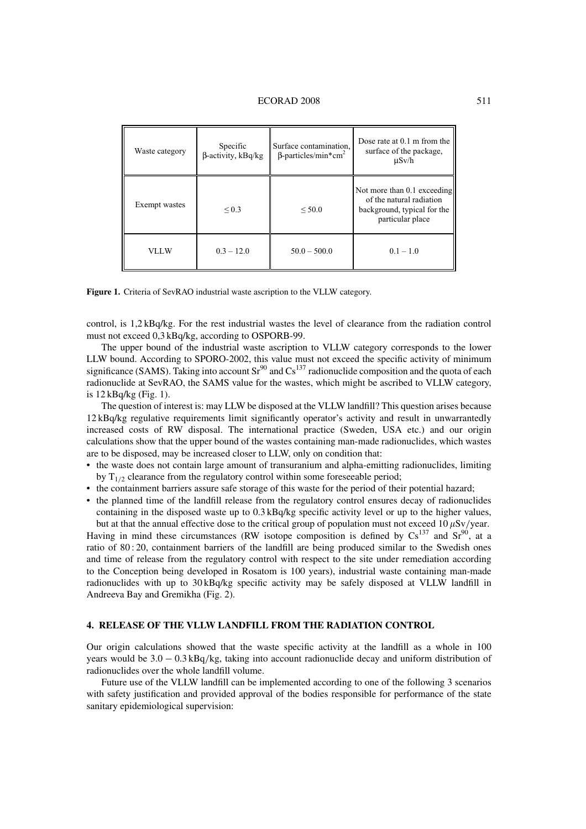| Waste category | Specific<br>$\beta$ -activity, kBq/kg | Surface contamination,<br>$\beta$ -particles/min*cm <sup>2</sup> | Dose rate at 0.1 m from the<br>surface of the package,<br>$\mu$ Sv/h                                       |
|----------------|---------------------------------------|------------------------------------------------------------------|------------------------------------------------------------------------------------------------------------|
| Exempt wastes  | ${}_{0.3}$                            | ${}<$ 50.0                                                       | Not more than 0.1 exceeding<br>of the natural radiation<br>background, typical for the<br>particular place |
| VLLW           | $0.3 - 12.0$                          | $50.0 - 500.0$                                                   | $0.1 - 1.0$                                                                                                |

**Figure 1.** Criteria of SevRAO industrial waste ascription to the VLLW category.

control, is 1,2 kBq/kg. For the rest industrial wastes the level of clearance from the radiation control must not exceed 0,3 kBq/kg, according to OSPORB-99.

The upper bound of the industrial waste ascription to VLLW category corresponds to the lower LLW bound. According to SPORO-2002, this value must not exceed the specific activity of minimum significance (SAMS). Taking into account  $Sr^{90}$  and  $Cs^{137}$  radionuclide composition and the quota of each radionuclide at SevRAO, the SAMS value for the wastes, which might be ascribed to VLLW category, is 12 kBq/kg (Fig. 1).

The question of interest is: may LLW be disposed at the VLLW landfill? This question arises because 12 kBq/kg regulative requirements limit significantly operator's activity and result in unwarrantedly increased costs of RW disposal. The international practice (Sweden, USA etc.) and our origin calculations show that the upper bound of the wastes containing man-made radionuclides, which wastes are to be disposed, may be increased closer to LLW, only on condition that:

- the waste does not contain large amount of transuranium and alpha-emitting radionuclides, limiting by  $T_{1/2}$  clearance from the regulatory control within some foreseeable period;
- the containment barriers assure safe storage of this waste for the period of their potential hazard;
- the planned time of the landfill release from the regulatory control ensures decay of radionuclides containing in the disposed waste up to 0.3 kBq/kg specific activity level or up to the higher values,

but at that the annual effective dose to the critical group of population must not exceed 10  $\mu$ Sv/year. Having in mind these circumstances (RW isotope composition is defined by  $Cs^{137}$  and  $Sr^{90}$ , at a ratio of 80 : 20, containment barriers of the landfill are being produced similar to the Swedish ones and time of release from the regulatory control with respect to the site under remediation according to the Conception being developed in Rosatom is 100 years), industrial waste containing man-made radionuclides with up to 30 kBq/kg specific activity may be safely disposed at VLLW landfill in Andreeva Bay and Gremikha (Fig. 2).

# **4. RELEASE OF THE VLLW LANDFILL FROM THE RADIATION CONTROL**

Our origin calculations showed that the waste specific activity at the landfill as a whole in 100 years would be 3.0 − 0.3 kBq/kg, taking into account radionuclide decay and uniform distribution of radionuclides over the whole landfill volume.

Future use of the VLLW landfill can be implemented according to one of the following 3 scenarios with safety justification and provided approval of the bodies responsible for performance of the state sanitary epidemiological supervision: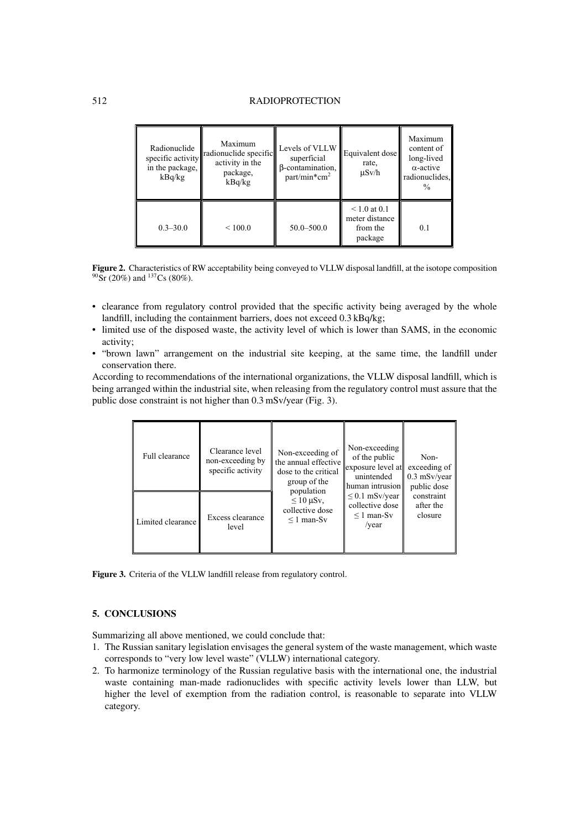# 512 RADIOPROTECTION

| Radionuclide<br>specific activity<br>in the package,<br>kBq/kg | Maximum<br>radionuclide specific<br>activity in the<br>package,<br>kBq/kg | Levels of VLLW<br>superficial<br>B-contamination,<br>$part/min*cm2$ | Equivalent dose<br>rate,<br>$\mu$ Sv/h                     | Maximum<br>content of<br>long-lived<br>$\alpha$ -active<br>radionuclides.<br>$\frac{0}{0}$ |
|----------------------------------------------------------------|---------------------------------------------------------------------------|---------------------------------------------------------------------|------------------------------------------------------------|--------------------------------------------------------------------------------------------|
| $0.3 - 30.0$                                                   | ${}_{<100.0}$                                                             | $50.0 - 500.0$                                                      | $\leq 1.0$ at 0.1<br>meter distance<br>from the<br>package | 0.1                                                                                        |

**Figure 2.** Characteristics of RW acceptability being conveyed to VLLW disposal landfill, at the isotope composition  $90\,\text{Sr}$  (20%) and  $137\text{Cs}$  (80%).

- clearance from regulatory control provided that the specific activity being averaged by the whole landfill, including the containment barriers, does not exceed 0.3 kBq/kg;
- limited use of the disposed waste, the activity level of which is lower than SAMS, in the economic activity;
- "brown lawn" arrangement on the industrial site keeping, at the same time, the landfill under conservation there.

According to recommendations of the international organizations, the VLLW disposal landfill, which is being arranged within the industrial site, when releasing from the regulatory control must assure that the public dose constraint is not higher than 0.3 mSv/year (Fig. 3).

| Full clearance    | Clearance level<br>non-exceeding by<br>specific activity | Non-exceeding of<br>the annual effective<br>dose to the critical<br>group of the<br>population<br>$\leq 10 \,\mu Sv$ ,<br>collective dose<br>$\leq 1$ man-Sv | Non-exceeding<br>of the public<br>exposure level at<br>unintended<br>human intrusion | Non-<br>exceeding of<br>$0.3$ mSv/year<br>public dose<br>constraint<br>after the<br>closure |
|-------------------|----------------------------------------------------------|--------------------------------------------------------------------------------------------------------------------------------------------------------------|--------------------------------------------------------------------------------------|---------------------------------------------------------------------------------------------|
| Limited clearance | Excess clearance<br>level                                |                                                                                                                                                              | $\leq$ 0.1 mSv/year<br>collective dose<br>$\leq 1$ man-Sv<br>/year                   |                                                                                             |

**Figure 3.** Criteria of the VLLW landfill release from regulatory control.

# **5. CONCLUSIONS**

Summarizing all above mentioned, we could conclude that:

- 1. The Russian sanitary legislation envisages the general system of the waste management, which waste corresponds to "very low level waste" (VLLW) international category.
- 2. To harmonize terminology of the Russian regulative basis with the international one, the industrial waste containing man-made radionuclides with specific activity levels lower than LLW, but higher the level of exemption from the radiation control, is reasonable to separate into VLLW category.